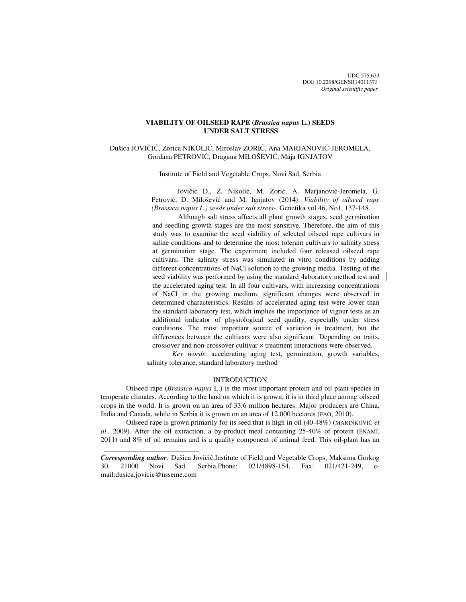# **VIABILITY OF OILSEED RAPE (***Brassica napus* **L.) SEEDS UNDER SALT STRESS**

# Dušica JOVIČIĆ, Zorica NIKOLIĆ, Miroslav ZORIĆ, Ana MARJANOVIĆ-JEROMELA, Gordana PETROVIĆ, Dragana MILOŠEVIĆ, Maja IGNJATOV

Institute of Field and Vegetable Crops, Novi Sad, Serbia

Jovičić D., Z. Nikolić, M. Zorić, A. Marjanović-Jeromela, G. Petrović, D. Milošević and M. Ignjatov (2014): *Viability of oilseed rape (Brassica napus L.) seeds under salt stress-.* Genetika vol 46, No1, 137-148.

Although salt stress affects all plant growth stages, seed germination and seedling growth stages are the most sensitive. Therefore, the aim of this study was to examine the seed viability of selected oilseed rape cultivars in saline conditions and to determine the most tolerant cultivars to salinity stress at germination stage. The experiment included four released oilseed rape cultivars. The salinity stress was simulated in vitro conditions by adding different concentrations of NaCl solution to the growing media. Testing of the seed viability was performed by using the standard laboratory method test and the accelerated aging test. In all four cultivars, with increasing concentrations of NaCl in the growing medium, significant changes were observed in determined characteristics. Results of accelerated aging test were lower than the standard laboratory test, which implies the importance of vigour tests as an additional indicator of physiological seed quality, especially under stress conditions. The most important source of variation is treatment, but the differences between the cultivars were also significant. Depending on traits, crossover and non-crossover cultivar × treatment interactions were observed.

*Key words*: accelerating aging test, germination, growth variables, salinity tolerance, standard laboratory method

## INTRODUCTION

Oilseed rape (*Brassica napus* L.) is the most important protein and oil plant species in temperate climates. According to the land on which it is grown, it is in third place among oilseed crops in the world. It is grown on an area of 33.6 million hectares. Major producers are China, India and Canada, while in Serbia it is grown on an area of 12.000 hectares (FAO, 2010).

Oilseed rape is grown primarily for its seed that is high in oil (40-48%) (MARINKOVIĆ *et al*., 2009). After the oil extraction, a by-product meal containing 25-40% of protein (ENAMI, 2011) and 8% of oil remains and is a quality component of animal feed. This oil-plant has an

 $\frac{1}{2}$  , and the set of the set of the set of the set of the set of the set of the set of the set of the set of the set of the set of the set of the set of the set of the set of the set of the set of the set of the set

*Corresponding author:* Dušica Jovičić,Institute of Field and Vegetable Crops, Maksima Gorkog 30, 21000 Novi Sad, Serbia,Phone: 021/4898-154, Fax: 021/421-249, email:dusica.jovicic@nsseme.com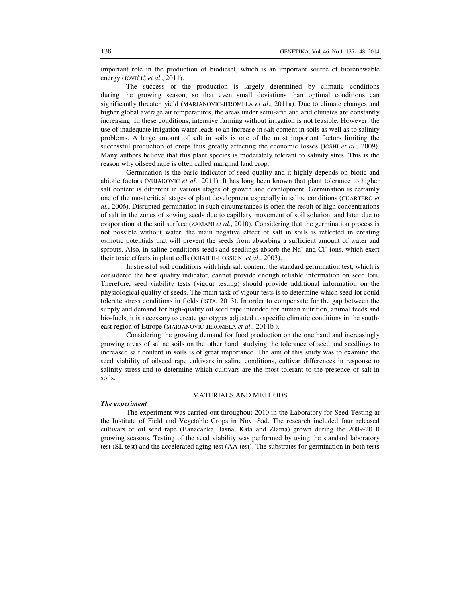important role in the production of biodiesel, which is an important source of biorenewable energy (JOVIČIĆ *et al*., 2011).

The success of the production is largely determined by climatic conditions during the growing season, so that even small deviations than optimal conditions can significantly threaten yield (MARJANOVIĆ-JEROMELA *et al*., 2011a). Due to climate changes and higher global average air temperatures, the areas under semi-arid and arid climates are constantly increasing. In these conditions, intensive farming without irrigation is not feasible. However, the use of inadequate irrigation water leads to an increase in salt content in soils as well as to salinity problems. A large amount of salt in soils is one of the most important factors limiting the successful production of crops thus greatly affecting the economic losses (JOSHI *et al.*, 2009). Many authors believe that this plant species is moderately tolerant to salinity stres. This is the reason why oilseed rape is often called marginal land crop.

Germination is the basic indicator of seed quality and it highly depends on biotic and abiotic factors (VUJAKOVIĆ *et al*., 2011). It has long been known that plant tolerance to higher salt content is different in various stages of growth and development. Germination is certainly one of the most critical stages of plant development especially in saline conditions (CUARTERO *et al.*, 2006). Disrupted germination in such circumstances is often the result of high concentrations of salt in the zones of sowing seeds due to capillary movement of soil solution, and later due to evaporation at the soil surface (ZAMANI *et al*., 2010). Considering that the germination process is not possible without water, the main negative effect of salt in soils is reflected in creating osmotic potentials that will prevent the seeds from absorbing a sufficient amount of water and sprouts. Also, in saline conditions seeds and seedlings absorb the Na<sup>+</sup> and Cl<sup>−</sup> ions, which exert their toxic effects in plant cells (KHAJEH-HOSSEINI *et al*., 2003).

In stressful soil conditions with high salt content, the standard germination test, which is considered the best quality indicator, cannot provide enough reliable information on seed lots. Therefore, seed viability tests (vigour testing) should provide additional information on the physiological quality of seeds. The main task of vigour tests is to determine which seed lot could tolerate stress conditions in fields (ISTA, 2013). In order to compensate for the gap between the supply and demand for high-quality oil seed rape intended for human nutrition, animal feeds and bio-fuels, it is necessary to create genotypes adjusted to specific climatic conditions in the southeast region of Europe (MARJANOVIĆ-JEROMELA *et al*., 2011b ).

Considering the growing demand for food production on the one hand and increasingly growing areas of saline soils on the other hand, studying the tolerance of seed and seedlings to increased salt content in soils is of great importance. The aim of this study was to examine the seed viability of oilseed rape cultivars in saline conditions, cultivar differences in response to salinity stress and to determine which cultivars are the most tolerant to the presence of salt in soils.

### MATERIALS AND METHODS

### *The experiment*

The experiment was carried out throughout 2010 in the Laboratory for Seed Testing at the Institute of Field and Vegetable Crops in Novi Sad. The research included four released cultivars of oil seed rape (Banacanka, Jasna, Kata and Zlatna) grown during the 2009-2010 growing seasons. Testing of the seed viability was performed by using the standard laboratory test (SL test) and the accelerated aging test (AA test). The substrates for germination in both tests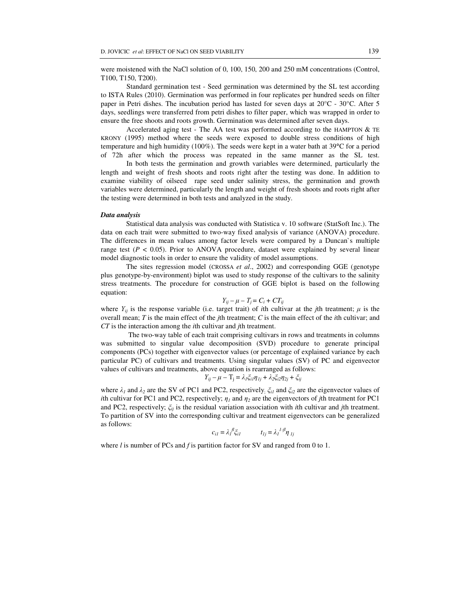were moistened with the NaCl solution of 0, 100, 150, 200 and 250 mM concentrations (Control, T100, T150, T200).

Standard germination test - Seed germination was determined by the SL test according to ISTA Rules (2010). Germination was performed in four replicates per hundred seeds on filter paper in Petri dishes. The incubation period has lasted for seven days at 20°C - 30°C. After 5 days, seedlings were transferred from petri dishes to filter paper, which was wrapped in order to ensure the free shoots and roots growth. Germination was determined after seven days.

Accelerated aging test - The AA test was performed according to the HAMPTON & TE KRONY (1995) method where the seeds were exposed to double stress conditions of high temperature and high humidity (100%). The seeds were kept in a water bath at 39°C for a period of 72h after which the process was repeated in the same manner as the SL test.

 In both tests the germination and growth variables were determined, particularly the length and weight of fresh shoots and roots right after the testing was done. In addition to examine viability of oilseed rape seed under salinity stress, the germination and growth variables were determined, particularly the length and weight of fresh shoots and roots right after the testing were determined in both tests and analyzed in the study.

### *Data analysis*

Statistical data analysis was conducted with Statistica v. 10 software (StatSoft Inc.). The data on each trait were submitted to two-way fixed analysis of variance (ANOVA) procedure. The differences in mean values among factor levels were compared by a Duncan`s multiple range test  $(P < 0.05)$ . Prior to ANOVA procedure, dataset were explained by several linear model diagnostic tools in order to ensure the validity of model assumptions.

The sites regression model (CROSSA *et al*., 2002) and corresponding GGE (genotype plus genotype-by-environment) biplot was used to study response of the cultivars to the salinity stress treatments. The procedure for construction of GGE biplot is based on the following equation:

$$
Y_{ij} - \mu - T_j = C_i + CT_{ij}
$$

where  $Y_{ij}$  is the response variable (i.e. target trait) of *i*th cultivar at the *j*th treatment;  $\mu$  is the overall mean; *T* is the main effect of the *j*th treatment; *C* is the main effect of the *i*th cultivar; and *CT* is the interaction among the *i*th cultivar and *j*th treatment.

The two-way table of each trait comprising cultivars in rows and treatments in columns was submitted to singular value decomposition (SVD) procedure to generate principal components (PCs) together with eigenvector values (or percentage of explained variance by each particular PC) of cultivars and treatments. Using singular values (SV) of PC and eigenvector values of cultivars and treatments, above equation is rearranged as follows:

$$
Y_{ij} - \mu - T_j = \lambda_i \xi_{il} \eta_{lj} + \lambda_2 \xi_{i2} \eta_{2j} + \xi_{ij}
$$

where  $\lambda_1$  and  $\lambda_2$  are the SV of PC1 and PC2, respectively;  $\xi_{i1}$  and  $\xi_{i2}$  are the eigenvector values of *i*th cultivar for PC1 and PC2, respectively;  $\eta_1$  and  $\eta_2$  are the eigenvectors of *j*th treatment for PC1 and PC2, respectively;  $\zeta_{ii}$  is the residual variation association with *i*th cultivar and *j*th treatment. To partition of SV into the corresponding cultivar and treatment eigenvectors can be generalized as follows:

$$
c_{iI} = \lambda_I^{fl} \xi_{iI} \qquad t_{Ij} = \lambda_I^{1-fl} \eta_{Ij}
$$

where *l* is number of PCs and *f* is partition factor for SV and ranged from 0 to 1.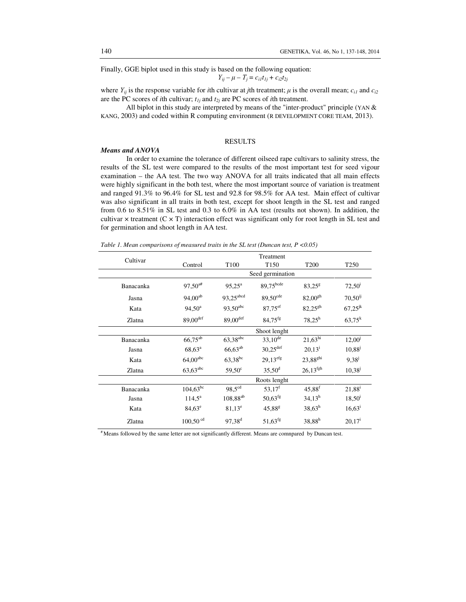Finally, GGE biplot used in this study is based on the following equation:

 $Y_{ij} - \mu - T_j = c_{i1}t_{1j} + c_{i2}t_{2j}$ 

where  $Y_{ii}$  is the response variable for *i*th cultivar at *j*th treatment;  $\mu$  is the overall mean;  $c_{i1}$  and  $c_{i2}$ are the PC scores of *i*th cultivar;  $t_{1j}$  and  $t_{2j}$  are PC scores of *i*th treatment.

All biplot in this study are interpreted by means of the "inter-product" principle (YAN & KANG, 2003) and coded within R computing environment (R DEVELOPMENT CORE TEAM, 2013).

# RESULTS

### *Means and ANOVA*

In order to examine the tolerance of different oilseed rape cultivars to salinity stress, the results of the SL test were compared to the results of the most important test for seed vigour examination – the AA test. The two way ANOVA for all traits indicated that all main effects were highly significant in the both test, where the most important source of variation is treatment and ranged 91.3% to 96.4% for SL test and 92.8 for 98.5% for AA test. Main effect of cultivar was also significant in all traits in both test, except for shoot length in the SL test and ranged from 0.6 to 8.51% in SL test and 0.3 to 6.0% in AA test (results not shown). In addition, the cultivar  $\times$  treatment (C  $\times$  T) interaction effect was significant only for root length in SL test and for germination and shoot length in AA test.

*Table 1. Mean comparisons of measured traits in the SL test (Duncan test, P <0.05)*

| Cultivar  | Treatment              |                          |                        |                      |                    |  |  |
|-----------|------------------------|--------------------------|------------------------|----------------------|--------------------|--|--|
|           | Control                | T <sub>100</sub>         | T <sub>150</sub>       | T <sub>200</sub>     | T <sub>250</sub>   |  |  |
|           | Seed germination       |                          |                        |                      |                    |  |  |
| Banacanka | $97,50^{a#}$           | $95.25^{\rm a}$          | 89,75bcde              | $83,25^8$            | $72,50^1$          |  |  |
| Jasna     | $94,00^{ab}$           | 93,25 <sup>abcd</sup>    | $89,50^{\text{cde}}$   | $82,00^{gh}$         | $70,50^{ij}$       |  |  |
| Kata      | $94,50^{\rm a}$        | $93,50^{abc}$            | $87,75$ <sup>ef</sup>  | $82,25^{gh}$         | $67,25^{jk}$       |  |  |
| Zlatna    | $89,00$ <sup>def</sup> | $89,00$ <sup>def</sup>   | $84,75$ <sup>fg</sup>  | $78,25^h$            | $63,75^k$          |  |  |
|           | Shoot lenght           |                          |                        |                      |                    |  |  |
| Banacanka | $66,75^{ab}$           | $63,38^{\overline{abc}}$ | $33,10^{de}$           | $21,63^{\rm hi}$     | 12,00 <sup>j</sup> |  |  |
| Jasna     | $68,63^{\rm a}$        | $66,63^{ab}$             | $30,25$ <sup>def</sup> | 20.13 <sup>1</sup>   | $10,88^{j}$        |  |  |
| Kata      | $64,\!00^{\rm abc}$    | 63,38 <sup>bc</sup>      | $29.13^{efg}$          | 23,88 <sup>ghi</sup> | $9.38^{j}$         |  |  |
| Zlatna    | $63,63$ <sup>abc</sup> | $59.50^{\circ}$          | $35,50^{\rm d}$        | $26,13^{fgh}$        | $10,38^{j}$        |  |  |
|           | Roots lenght           |                          |                        |                      |                    |  |  |
| Banacanka | $104,63^{bc}$          | 98,5 <sup>cd</sup>       | $53,17^f$              | $45,88^{\rm f}$      | $21,88^{i}$        |  |  |
| Jasna     | $114.5^{\circ}$        | $108,88^{ab}$            | $50,63$ <sup>fg</sup>  | 34.13 <sup>h</sup>   | 18,50 <sup>1</sup> |  |  |
| Kata      | $84,63^e$              | $81,13^e$                | 45,88 <sup>g</sup>     | $38,63^h$            | $16,63^{\rm i}$    |  |  |
| Zlatna    | $100,50$ <sup>cd</sup> | $97.38^{d}$              | $51,63$ <sup>fg</sup>  | $38,88^{h}$          | 20.17 <sup>1</sup> |  |  |

# Means followed by the same letter are not significantly different. Means are comnpared by Duncan test.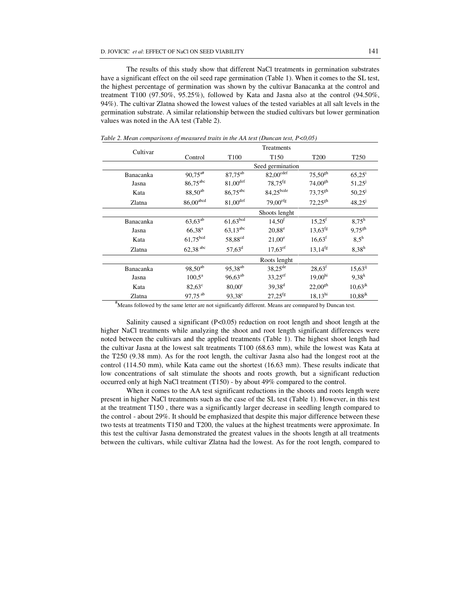The results of this study show that different NaCl treatments in germination substrates have a significant effect on the oil seed rape germination (Table 1). When it comes to the SL test, the highest percentage of germination was shown by the cultivar Banacanka at the control and treatment T100 (97.50%, 95.25%), followed by Kata and Jasna also at the control (94.50%, 94%). The cultivar Zlatna showed the lowest values of the tested variables at all salt levels in the germination substrate. A similar relationship between the studied cultivars but lower germination values was noted in the AA test (Table 2).

| Cultivar  | Treatments              |                        |                        |                     |                                   |  |  |
|-----------|-------------------------|------------------------|------------------------|---------------------|-----------------------------------|--|--|
|           | Control                 | T <sub>100</sub>       | T <sub>150</sub>       | T <sub>200</sub>    | T <sub>250</sub>                  |  |  |
|           | Seed germination        |                        |                        |                     |                                   |  |  |
| Banacanka | $90,75$ <sup>a#</sup>   | 87,75 <sup>ab</sup>    | 82,00def               | $75.50^{gh}$        | $65,25^{\rm i}$                   |  |  |
| Jasna     | 86,75 <sup>abc</sup>    | $81,00$ <sup>def</sup> | $78.75$ <sup>fg</sup>  | $74.00^{gh}$        | $51,25^{j}$                       |  |  |
| Kata      | $88,50^{ab}$            | 86,75 <sup>abc</sup>   | $84,25^{bcde}$         | $73,75^{gh}$        | $50,25$ <sup><math>J</math></sup> |  |  |
| Zlatna    | $86,00$ <sup>abcd</sup> | $81,00$ <sup>def</sup> | $79,00$ <sup>efg</sup> | $72,25^{gh}$        | $48,25^{j}$                       |  |  |
|           | Shoots lenght           |                        |                        |                     |                                   |  |  |
| Banacanka | $63,63^{ab}$            | $61,63\overline{b}$    | 14,50 <sup>f</sup>     | $15,25^f$           | $8.75^h$                          |  |  |
| Jasna     | $66,38^{\rm a}$         | $63,13^{abc}$          | $20.88^e$              | $13,63^{fg}$        | $9.75^{gh}$                       |  |  |
| Kata      | $61,\!75^\mathrm{bcd}$  | 58,88 <sup>cd</sup>    | $21,00^e$              | $16,63^t$           | $8.5^{\rm h}$                     |  |  |
| Zlatna    | $62,38$ <sup>abc</sup>  | $57,63^{\rm d}$        | $17,63^{\rm ef}$       | $13,14^{fg}$        | $8,38^{h}$                        |  |  |
|           | Roots lenght            |                        |                        |                     |                                   |  |  |
| Banacanka | $98,50^{ab}$            | 95,38 <sup>ab</sup>    | $38,25^{\text{de}}$    | 28.63 <sup>f</sup>  | $15,63^{ij}$                      |  |  |
| Jasna     | $100.5^{\text{a}}$      | $96,63^{ab}$           | $33,25^{\text{ef}}$    | 19,00 <sup>hi</sup> | $9.38^{k}$                        |  |  |
| Kata      | $82,63^{\circ}$         | $80,00^{\circ}$        | $39,38^{d}$            | $22,00^{gh}$        | $10,63^{jk}$                      |  |  |
| Zlatna    | 97,75 ab                | $93,38^{\circ}$        | $27,25$ <sup>fg</sup>  | $18,13^{\rm hi}$    | $10,88^{jk}$                      |  |  |

*Table 2. Mean comparisons of measured traits in the AA test (Duncan test, P<0,05)* 

#Means followed by the same letter are not significantly different. Means are comnpared by Duncan test.

Salinity caused a significant (P<0.05) reduction on root length and shoot length at the higher NaCl treatments while analyzing the shoot and root length significant differences were noted between the cultivars and the applied treatments (Table 1). The highest shoot length had the cultivar Jasna at the lowest salt treatments T100 (68.63 mm), while the lowest was Kata at the T250 (9.38 mm). As for the root length, the cultivar Jasna also had the longest root at the control (114.50 mm), while Kata came out the shortest (16.63 mm). These results indicate that low concentrations of salt stimulate the shoots and roots growth, but a significant reduction occurred only at high NaCl treatment (T150) - by about 49% compared to the control.

When it comes to the AA test significant reductions in the shoots and roots length were present in higher NaCl treatments such as the case of the SL test (Table 1). However, in this test at the treatment T150 , there was a significantly larger decrease in seedling length compared to the control - about 29%. It should be emphasized that despite this major difference between these two tests at treatments T150 and T200, the values at the highest treatments were approximate. In this test the cultivar Jasna demonstrated the greatest values in the shoots length at all treatments between the cultivars, while cultivar Zlatna had the lowest. As for the root length, compared to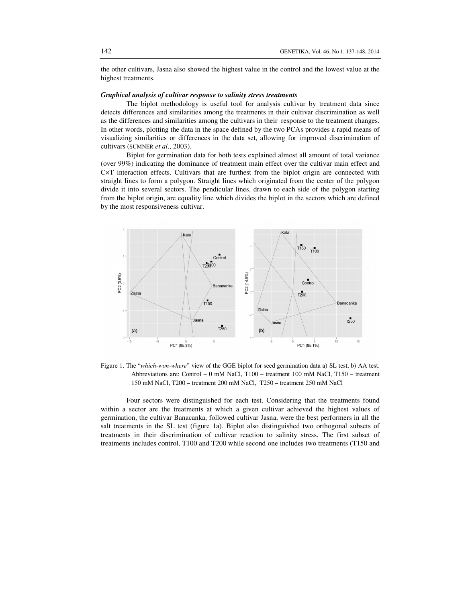the other cultivars, Jasna also showed the highest value in the control and the lowest value at the highest treatments.

## *Graphical analysis of cultivar response to salinity stress treatments*

The biplot methodology is useful tool for analysis cultivar by treatment data since detects differences and similarities among the treatments in their cultivar discrimination as well as the differences and similarities among the cultivars in their response to the treatment changes. In other words, plotting the data in the space defined by the two PCAs provides a rapid means of visualizing similarities or differences in the data set, allowing for improved discrimination of cultivars (SUMNER *et al*., 2003).

Biplot for germination data for both tests explained almost all amount of total variance (over 99%) indicating the dominance of treatment main effect over the cultivar main effect and C×T interaction effects. Cultivars that are furthest from the biplot origin are connected with straight lines to form a polygon. Straight lines which originated from the center of the polygon divide it into several sectors. The pendicular lines, drawn to each side of the polygon starting from the biplot origin, are equality line which divides the biplot in the sectors which are defined by the most responsiveness cultivar.



Figure 1. The "*which-won-where*" view of the GGE biplot for seed germination data a) SL test, b) AA test. Abbreviations are: Control – 0 mM NaCl, T100 – treatment 100 mM NaCl, T150 – treatment 150 mM NaCl, T200 – treatment 200 mM NaCl, T250 – treatment 250 mM NaCl

Four sectors were distinguished for each test. Considering that the treatments found within a sector are the treatments at which a given cultivar achieved the highest values of germination, the cultivar Banacanka, followed cultivar Jasna, were the best performers in all the salt treatments in the SL test (figure 1a). Biplot also distinguished two orthogonal subsets of treatments in their discrimination of cultivar reaction to salinity stress. The first subset of treatments includes control, T100 and T200 while second one includes two treatments (T150 and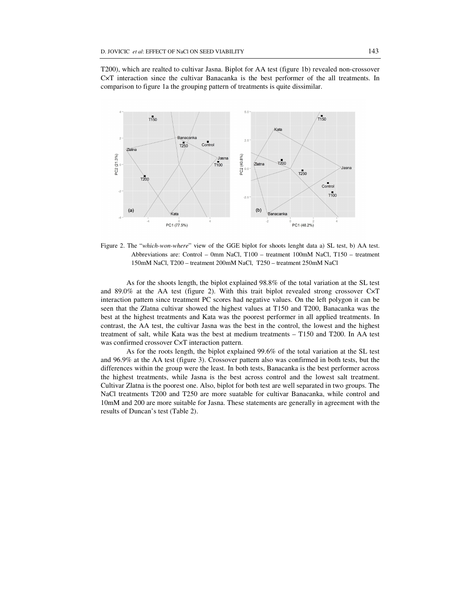T200), which are realted to cultivar Jasna. Biplot for AA test (figure 1b) revealed non-crossover C×T interaction since the cultivar Banacanka is the best performer of the all treatments. In comparison to figure 1a the grouping pattern of treatments is quite dissimilar.



Figure 2. The "*which-won-where*" view of the GGE biplot for shoots lenght data a) SL test, b) AA test. Abbreviations are: Control – 0mm NaCl, T100 – treatment 100mM NaCl, T150 – treatment 150mM NaCl, T200 – treatment 200mM NaCl, T250 – treatment 250mM NaCl

As for the shoots length, the biplot explained 98.8% of the total variation at the SL test and 89.0% at the AA test (figure 2). With this trait biplot revealed strong crossover C×T interaction pattern since treatment PC scores had negative values. On the left polygon it can be seen that the Zlatna cultivar showed the highest values at T150 and T200, Banacanka was the best at the highest treatments and Kata was the poorest performer in all applied treatments. In contrast, the AA test, the cultivar Jasna was the best in the control, the lowest and the highest treatment of salt, while Kata was the best at medium treatments – T150 and T200. In AA test was confirmed crossover C×T interaction pattern.

 As for the roots length, the biplot explained 99.6% of the total variation at the SL test and 96.9% at the AA test (figure 3). Crossover pattern also was confirmed in both tests, but the differences within the group were the least. In both tests, Banacanka is the best performer across the highest treatments, while Jasna is the best across control and the lowest salt treatment. Cultivar Zlatna is the poorest one. Also, biplot for both test are well separated in two groups. The NaCl treatments T200 and T250 are more suatable for cultivar Banacanka, while control and 10mM and 200 are more suitable for Jasna. These statements are generally in agreement with the results of Duncan's test (Table 2).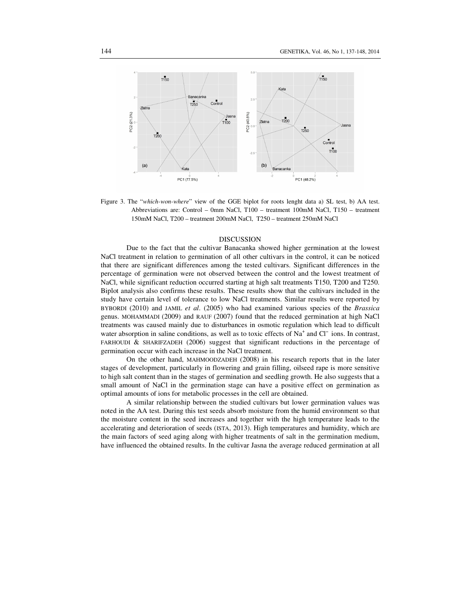

Figure 3. The "*which-won-where*" view of the GGE biplot for roots lenght data a) SL test, b) AA test. Abbreviations are: Control – 0mm NaCl, T100 – treatment 100mM NaCl, T150 – treatment 150mM NaCl, T200 – treatment 200mM NaCl, T250 – treatment 250mM NaCl

### DISCUSSION

Due to the fact that the cultivar Banacanka showed higher germination at the lowest NaCl treatment in relation to germination of all other cultivars in the control, it can be noticed that there are significant differences among the tested cultivars. Significant differences in the percentage of germination were not observed between the control and the lowest treatment of NaCl, while significant reduction occurred starting at high salt treatments T150, T200 and T250. Biplot analysis also confirms these results. These results show that the cultivars included in the study have certain level of tolerance to low NaCl treatments. Similar results were reported by BYBORDI (2010) and JAMIL *et al*. (2005) who had examined various species of the *Brassica* genus. MOHAMMADI (2009) and RAUF (2007) found that the reduced germination at high NaCl treatments was caused mainly due to disturbances in osmotic regulation which lead to difficult water absorption in saline conditions, as well as to toxic effects of  $Na<sup>+</sup>$  and Cl<sup>-</sup> ions. In contrast, FARHOUDI & SHARIFZADEH (2006) suggest that significant reductions in the percentage of germination occur with each increase in the NaCl treatment.

On the other hand, MAHMOODZADEH (2008) in his research reports that in the later stages of development, particularly in flowering and grain filling, oilseed rape is more sensitive to high salt content than in the stages of germination and seedling growth. He also suggests that a small amount of NaCl in the germination stage can have a positive effect on germination as optimal amounts of ions for metabolic processes in the cell are obtained.

A similar relationship between the studied cultivars but lower germination values was noted in the AA test. During this test seeds absorb moisture from the humid environment so that the moisture content in the seed increases and together with the high temperature leads to the accelerating and deterioration of seeds (ISTA, 2013). High temperatures and humidity, which are the main factors of seed aging along with higher treatments of salt in the germination medium, have influenced the obtained results. In the cultivar Jasna the average reduced germination at all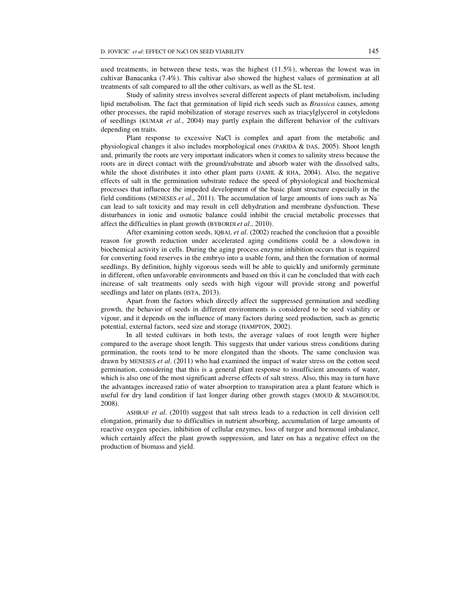used treatments, in between these tests, was the highest (11.5%), whereas the lowest was in cultivar Banacanka (7.4%). This cultivar also showed the highest values of germination at all treatments of salt compared to all the other cultivars, as well as the SL test.

Study of salinity stress involves several different aspects of plant metabolism, including lipid metabolism. The fact that germination of lipid rich seeds such as *Brassica* causes, among other processes, the rapid mobilization of storage reserves such as triacylglycerol in cotyledons of seedlings (KUMAR *et al*., 2004) may partly explain the different behavior of the cultivars depending on traits.

Plant response to excessive NaCl is complex and apart from the metabolic and physiological changes it also includes morphological ones (PARIDA & DAS, 2005). Shoot length and, primarily the roots are very important indicators when it comes to salinity stress because the roots are in direct contact with the ground/substrate and absorb water with the dissolved salts, while the shoot distributes it into other plant parts (JAMIL & RHA, 2004). Also, the negative effects of salt in the germination substrate reduce the speed of physiological and biochemical processes that influence the impeded development of the basic plant structure especially in the field conditions (MENESES *et al*., 2011). The accumulation of large amounts of ions such as Na<sup>−</sup> can lead to salt toxicity and may result in cell dehydration and membrane dysfunction. These disturbances in ionic and osmotic balance could inhibit the crucial metabolic processes that affect the difficulties in plant growth (BYBORDI *et al*., 2010).

After examining cotton seeds, IQBAL *et al*. (2002) reached the conclusion that a possible reason for growth reduction under accelerated aging conditions could be a slowdown in biochemical activity in cells. During the aging process enzyme inhibition occurs that is required for converting food reserves in the embryo into a usable form, and then the formation of normal seedlings. By definition, highly vigorous seeds will be able to quickly and uniformly germinate in different, often unfavorable environments and based on this it can be concluded that with each increase of salt treatments only seeds with high vigour will provide strong and powerful seedlings and later on plants (ISTA, 2013).

Apart from the factors which directly affect the suppressed germination and seedling growth, the behavior of seeds in different environments is considered to be seed viability or vigour, and it depends on the influence of many factors during seed production, such as genetic potential, external factors, seed size and storage (HAMPTON, 2002).

In all tested cultivars in both tests, the average values of root length were higher compared to the average shoot length. This suggests that under various stress conditions during germination, the roots tend to be more elongated than the shoots. The same conclusion was drawn by MENESES *et al*. (2011) who had examined the impact of water stress on the cotton seed germination, considering that this is a general plant response to insufficient amounts of water, which is also one of the most significant adverse effects of salt stress. Also, this may in turn have the advantages increased ratio of water absorption to transpiration area a plant feature which is useful for dry land condition if last longer during other growth stages (MOUD & MAGHSOUDI, 2008).

ASHRAF *et al*. (2010) suggest that salt stress leads to a reduction in cell division cell elongation, primarily due to difficulties in nutrient absorbing, accumulation of large amounts of reactive oxygen species, inhibition of cellular enzymes, loss of turgor and hormonal imbalance, which certainly affect the plant growth suppression, and later on has a negative effect on the production of biomass and yield.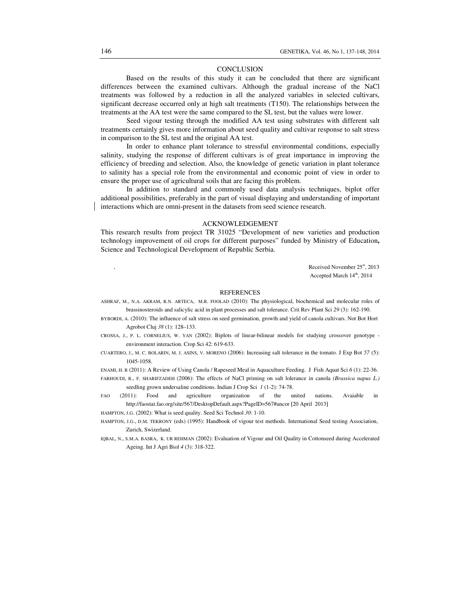#### **CONCLUSION**

Based on the results of this study it can be concluded that there are significant differences between the examined cultivars. Although the gradual increase of the NaCl treatments was followed by a reduction in all the analyzed variables in selected cultivars, significant decrease occurred only at high salt treatments (T150). The relationships between the treatments at the AA test were the same compared to the SL test, but the values were lower.

Seed vigour testing through the modified AA test using substrates with different salt treatments certainly gives more information about seed quality and cultivar response to salt stress in comparison to the SL test and the original AA test.

In order to enhance plant tolerance to stressful environmental conditions, especially salinity, studying the response of different cultivars is of great importance in improving the efficiency of breeding and selection. Also, the knowledge of genetic variation in plant tolerance to salinity has a special role from the environmental and economic point of view in order to ensure the proper use of agricultural soils that are facing this problem.

In addition to standard and commonly used data analysis techniques, biplot offer additional possibilities, preferably in the part of visual displaying and understanding of important interactions which are omni-present in the datasets from seed science research.

## ACKNOWLEDGEMENT

This research results from project TR 31025 "Development of new varieties and production technology improvement of oil crops for different purposes" funded by Ministry of Education**,** Science and Technological Development of Republic Serbia.

> Received November 25<sup>st</sup>, 2013 Accepted March 14<sup>th</sup>, 2014

#### REFERENCES

ASHRAF, M., N.A. AKRAM, R.N. ARTECA, M.R. FOOLAD (2010): The physiological, biochemical and molecular roles of brassinosteroids and salicylic acid in plant processes and salt tolerance. Crit Rev Plant Sci *29* (3): 162-190.

- BYBORDI, A. (2010): The influence of salt stress on seed germination, growth and yield of canola cultivars. Not Bot Hort Agrobot Cluj *38* (1): 128–133.
- CROSSA, J., P. L. CORNELIUS, W. YAN (2002): Biplots of linear-bilinear models for studying crossover genotype environment interaction. Crop Sci 42: 619-633.
- CUARTERO, J., M. C. BOLARIN, M. J. ASINS, V. MORENO (2006): Increasing salt tolerance in the tomato. J Exp Bot *57* (5): 1045-1058.

ENAMI, H. R (2011): A Review of Using Canola / Rapeseed Meal in Aquaculture Feeding. J Fish Aquat Sci *6* (1): 22-36.

FARHOUDI, R., F. SHARIFZADEH (2006): The effects of NaCl priming on salt lolerance in canola *(Brassica napus L.)*  seedling grown undersaline conditions. Indian J Crop Sci *1* (1-2): 74-78.

FAO (2011): Food and agriculture organization of the united nations. Avaiable in http://faostat.fao.org/site/567/DesktopDefault.aspx?PageID=567#ancor [20 April 2013]

HAMPTON, J.G. (2002): What is seed quality. Seed Sci Technol *30*: 1-10.

- HAMPTON, J.G., D.M. TEKRONY (eds) (1995): Handbook of vigour test methods. International Seed testing Association, Zurich, Swizerland.
- IQBAL, N., S.M.A. BASRA, K. UR REHMAN (2002): Evaluation of Vigour and Oil Quality in Cottonseed during Accelerated Ageing. Int J Agri Biol *4* (3): 318-322.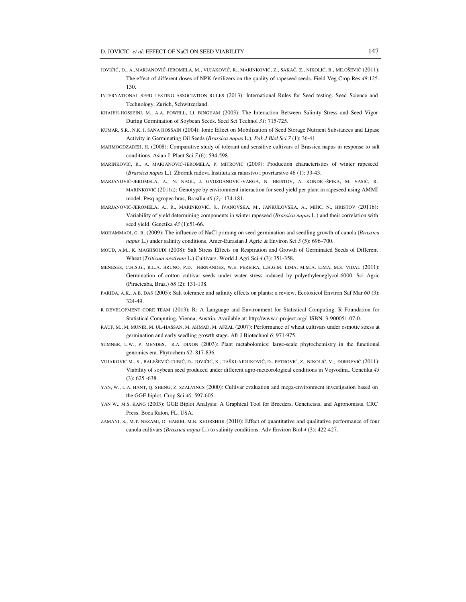- JOVIČIĆ, D., A.,MARJANOVIĆ-JEROMELA, M., VUJAKOVIĆ, R., MARINKOVIĆ, Z., SAKAČ, Z., NIKOLIĆ, B., MILOŠEVIĆ (2011): The effect of different doses of NPK fertilizers on the quality of rapeseed seeds. Field Veg Crop Res *48*:125- 130.
- INTERNATIONAL SEED TESTING ASSOCIATION RULES (2013): International Rules for Seed testing. Seed Science and Technology, Zurich, Schwitzerland.
- KHAJEH-HOSSEINI, M., A.A. POWELL, I.J. BINGHAM (2003): The Interaction Between Salinity Stress and Seed Vigor During Germination of Soybean Seeds. Seed Sci Technol *31*: 715-725.
- KUMAR, S.R., N.K. I. SANA HOSSAIN (2004): Ionic Effect on Mobilization of Seed Storage Nutrient Substances and Lipase Activity in Germinating Oil Seeds (*Brassica napus* L.), *Pak J Biol Sci 7* (1): 36-41.
- MAHMOODZADEH, H. (2008): Comparative study of tolerant and sensitive cultivars of Brassica napus in response to salt conditions. Asian J Plant Sci *7* (6): 594-598.
- MARINKOVIĆ, R., A. MARJANOVIĆ-JEROMELA, P. MITROVIĆ (2009): Production characteristics of winter rapeseed (*Brassica napus* L.). Zbornik radova Instituta za ratarstvo i povrtarstvo 46 (1): 33-43.
- MARJANOVIĆ-JEROMELA, A., N. NAGL, J. GVOZDANOVIĆ-VARGA, N. HRISTOV, A. KONDIĆ-ŠPIKA, M. VASIĆ, R. MARINKOVIĆ (2011a): Genotype by environment interaction for seed yield per plant in rapeseed using AMMI model. Pesq agropec bras, Brasília *46 (2):* 174-181.
- MARJANOVIĆ-JEROMELA, A., R., MARINKOVIĆ, S., IVANOVSKA, M., JANKULOVSKA, A., MIJIĆ, N., HRISTOV (2011b): Variability of yield determining components in winter rapeseed (*Brassica napus* L.) and their correlation with seed yield. Genetika *43* (1):51-66.
- MOHAMMADI, G. R. (2009): The influence of NaCl priming on seed germination and seedling growth of canola (*Brassica napus* L.) under salinity conditions. Amer-Eurasian J Agric & Environ Sci *5* (5): 696–700.
- MOUD, A.M., K. MAGHSOUDI (2008): Salt Stress Effects on Respiration and Growth of Germinated Seeds of Different Wheat (*Triticum aestivum* L.) Cultivars. World J Agri Sci *4* (3): 351-358.
- MENESES, C.H.S.G., R.L.A. BRUNO, P.D. FERNANDES, W.E. PEREIRA, L.H.G.M. LIMA, M.M.A. LIMA, M.S. VIDAL (2011): Germination of cotton cultivar seeds under water stress induced by polyethyleneglycol-6000. Sci Agric (Piracicaba, Braz.) *68* (2): 131-138.
- PARIDA, A.K., A.B. DAS (2005): Salt tolerance and salinity effects on plants: a review. Ecotoxicol Environ Saf Mar *60* (3): 324-49.
- R DEVELOPMENT CORE TEAM (2013): R: A Language and Environment for Statistical Computing. R Foundation for Statistical Computing, Vienna, Austria. Available at: http://www.r-project.org/. ISBN: 3-900051-07-0.
- RAUF, M., M. MUNIR, M. UL-HASSAN, M. AHMAD, M. AFZAL (2007): Performance of wheat cultivars under osmotic stress at germination and early seedling growth stage. Afr J Biotechnol *6*: 971-975.
- SUMNER, L.W., P. MENDES, R.A. DIXON (2003): Plant metabolomics: large-scale phytochemistry in the functional genomics era. Phytochem *62*: 817-836.
- VUJAKOVIĆ M., S., BALEŠEVIĆ-TUBIĆ, D., JOVIČIĆ, K., TAŠKI-AJDUKOVIĆ, D., PETROVIĆ, Z., NIKOLIĆ, V., ĐORĐEVIĆ (2011): Viability of soybean seed produced under different agro-meteorological conditions in Vojvodina. Genetika *43*  $(3): 625 - 638.$
- YAN, W., L.A. HANT, Q. SHENG, Z. SZALVINCS (2000): Cultivar evaluation and mega-environment investigation based on the GGE biplot. Crop Sci *40*: 597-605.
- YAN W., M.S. KANG (2003): GGE Biplot Analysis: A Graphical Tool for Breeders, Geneticists, and Agronomists. CRC Press. Boca Raton, FL, USA.
- ZAMANI, S., M.T. NEZAMI, D. HABIBI, M.B. KHORSHIDI (2010): Effect of quantitative and qualitative performance of four canola cultivars (*Brassica napus* L.) to salinity conditions. Adv Environ Biol *4* (3): 422-427.